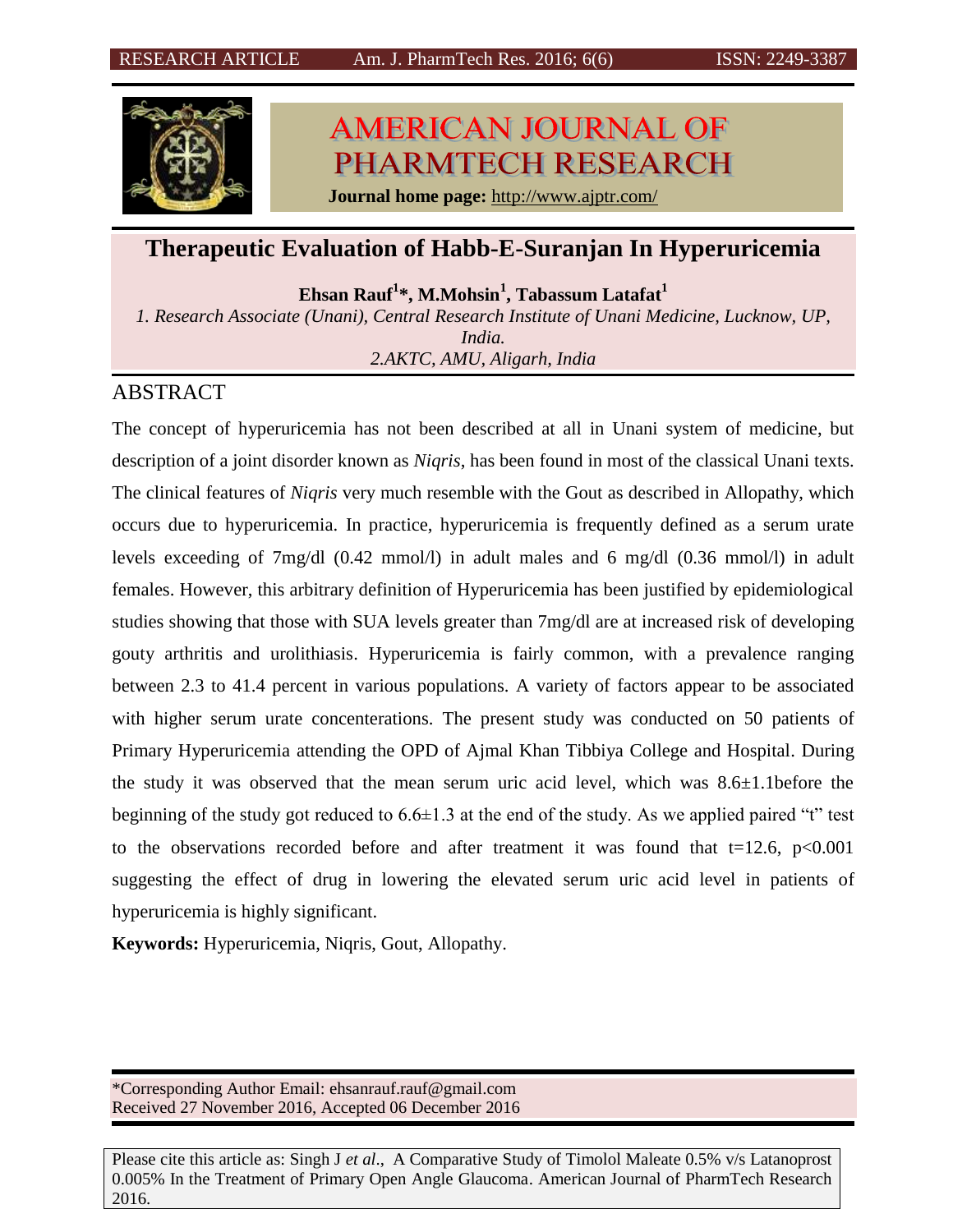

# **AMERICAN JOURNAL OF** PHARMTECH RESEARCH

**Journal home page:** <http://www.ajptr.com/>

# **Therapeutic Evaluation of Habb-E-Suranjan In Hyperuricemia**

**Ehsan Rauf<sup>1</sup> \*, M.Mohsin<sup>1</sup> , Tabassum Latafat<sup>1</sup>**

*1. Research Associate (Unani), Central Research Institute of Unani Medicine, Lucknow, UP,* 

*India. 2.AKTC, AMU, Aligarh, India*

# ABSTRACT

The concept of hyperuricemia has not been described at all in Unani system of medicine, but description of a joint disorder known as *Niqris*, has been found in most of the classical Unani texts. The clinical features of *Niqris* very much resemble with the Gout as described in Allopathy, which occurs due to hyperuricemia. In practice, hyperuricemia is frequently defined as a serum urate levels exceeding of 7mg/dl (0.42 mmol/l) in adult males and 6 mg/dl (0.36 mmol/l) in adult females. However, this arbitrary definition of Hyperuricemia has been justified by epidemiological studies showing that those with SUA levels greater than 7mg/dl are at increased risk of developing gouty arthritis and urolithiasis. Hyperuricemia is fairly common, with a prevalence ranging between 2.3 to 41.4 percent in various populations. A variety of factors appear to be associated with higher serum urate concenterations. The present study was conducted on 50 patients of Primary Hyperuricemia attending the OPD of Ajmal Khan Tibbiya College and Hospital. During the study it was observed that the mean serum uric acid level, which was 8.6±1.1before the beginning of the study got reduced to  $6.6\pm1.3$  at the end of the study. As we applied paired "t" test to the observations recorded before and after treatment it was found that  $t=12.6$ ,  $p<0.001$ suggesting the effect of drug in lowering the elevated serum uric acid level in patients of hyperuricemia is highly significant.

**Keywords:** Hyperuricemia, Niqris, Gout, Allopathy.

\*Corresponding Author Email: ehsanrauf.rauf@gmail.com Received 27 November 2016, Accepted 06 December 2016

Please cite this article as: Singh J *et al*., A Comparative Study of Timolol Maleate 0.5% v/s Latanoprost 0.005% In the Treatment of Primary Open Angle Glaucoma. American Journal of PharmTech Research 2016.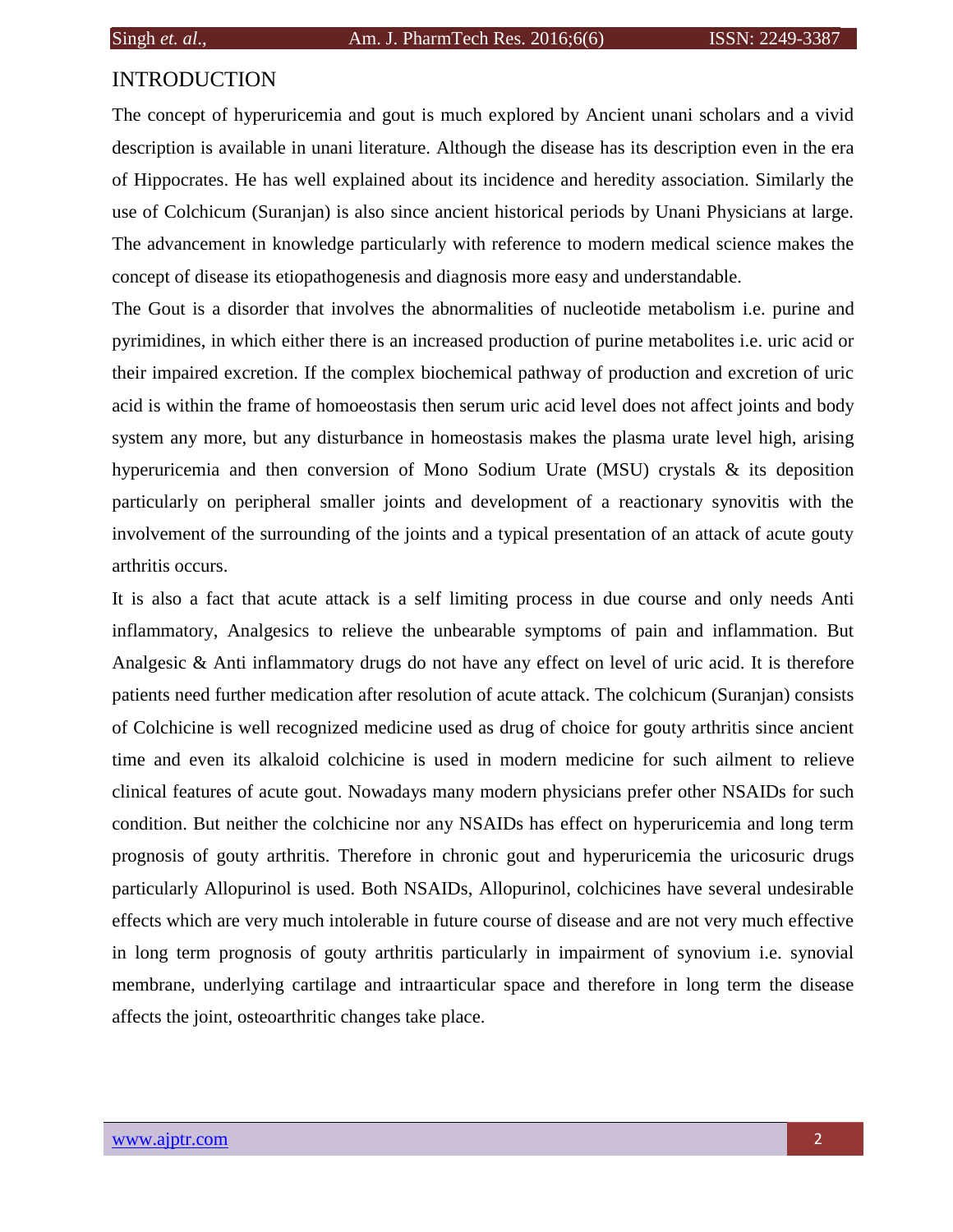# INTRODUCTION

The concept of hyperuricemia and gout is much explored by Ancient unani scholars and a vivid description is available in unani literature. Although the disease has its description even in the era of Hippocrates. He has well explained about its incidence and heredity association. Similarly the use of Colchicum (Suranjan) is also since ancient historical periods by Unani Physicians at large. The advancement in knowledge particularly with reference to modern medical science makes the concept of disease its etiopathogenesis and diagnosis more easy and understandable.

The Gout is a disorder that involves the abnormalities of nucleotide metabolism i.e. purine and pyrimidines, in which either there is an increased production of purine metabolites i.e. uric acid or their impaired excretion. If the complex biochemical pathway of production and excretion of uric acid is within the frame of homoeostasis then serum uric acid level does not affect joints and body system any more, but any disturbance in homeostasis makes the plasma urate level high, arising hyperuricemia and then conversion of Mono Sodium Urate (MSU) crystals & its deposition particularly on peripheral smaller joints and development of a reactionary synovitis with the involvement of the surrounding of the joints and a typical presentation of an attack of acute gouty arthritis occurs.

It is also a fact that acute attack is a self limiting process in due course and only needs Anti inflammatory, Analgesics to relieve the unbearable symptoms of pain and inflammation. But Analgesic & Anti inflammatory drugs do not have any effect on level of uric acid. It is therefore patients need further medication after resolution of acute attack. The colchicum (Suranjan) consists of Colchicine is well recognized medicine used as drug of choice for gouty arthritis since ancient time and even its alkaloid colchicine is used in modern medicine for such ailment to relieve clinical features of acute gout. Nowadays many modern physicians prefer other NSAIDs for such condition. But neither the colchicine nor any NSAIDs has effect on hyperuricemia and long term prognosis of gouty arthritis. Therefore in chronic gout and hyperuricemia the uricosuric drugs particularly Allopurinol is used. Both NSAIDs, Allopurinol, colchicines have several undesirable effects which are very much intolerable in future course of disease and are not very much effective in long term prognosis of gouty arthritis particularly in impairment of synovium i.e. synovial membrane, underlying cartilage and intraarticular space and therefore in long term the disease affects the joint, osteoarthritic changes take place.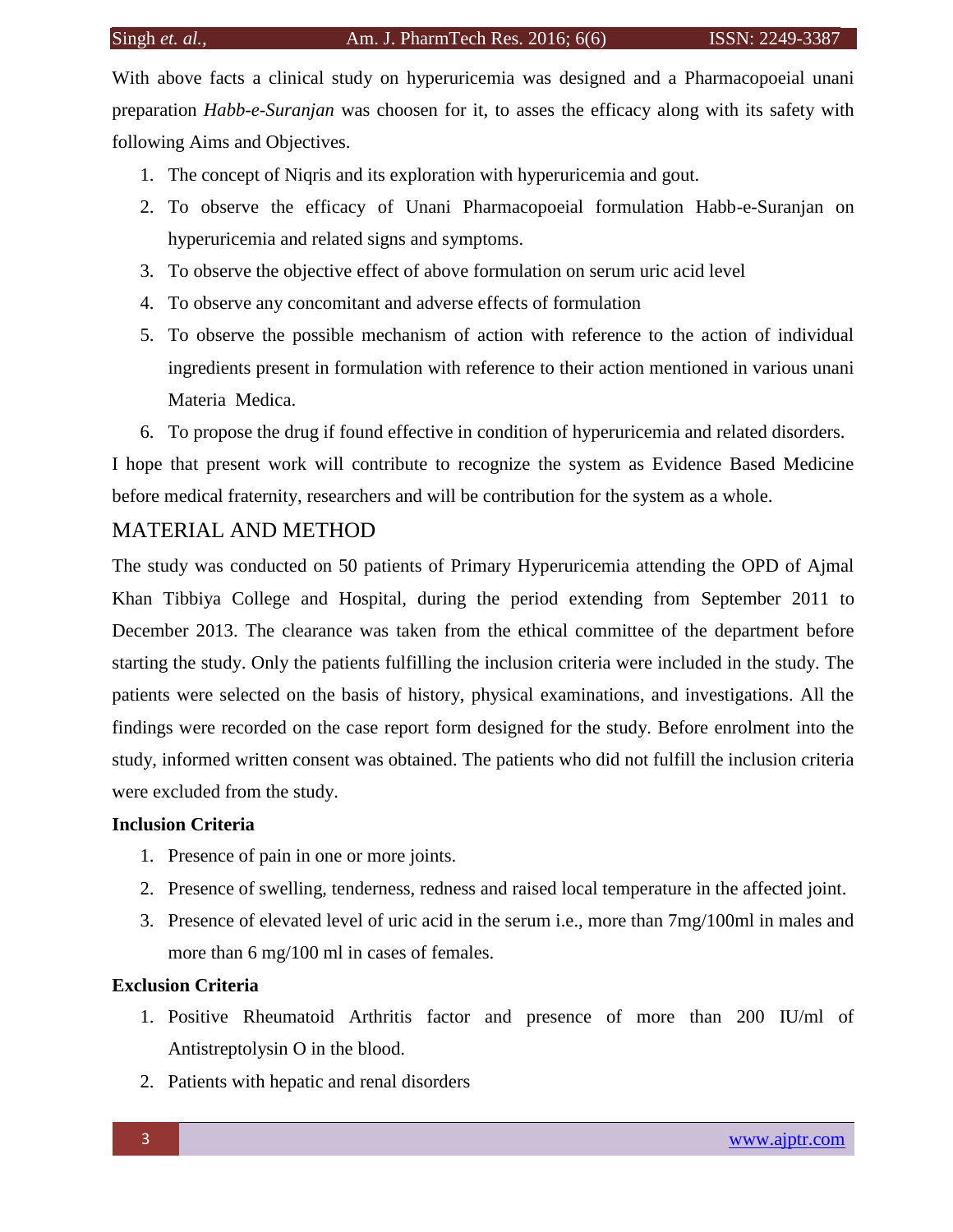With above facts a clinical study on hyperuricemia was designed and a Pharmacopoeial unani preparation *Habb-e-Suranjan* was choosen for it, to asses the efficacy along with its safety with following Aims and Objectives.

- 1. The concept of Niqris and its exploration with hyperuricemia and gout.
- 2. To observe the efficacy of Unani Pharmacopoeial formulation Habb-e-Suranjan on hyperuricemia and related signs and symptoms.
- 3. To observe the objective effect of above formulation on serum uric acid level
- 4. To observe any concomitant and adverse effects of formulation
- 5. To observe the possible mechanism of action with reference to the action of individual ingredients present in formulation with reference to their action mentioned in various unani Materia Medica.
- 6. To propose the drug if found effective in condition of hyperuricemia and related disorders.

I hope that present work will contribute to recognize the system as Evidence Based Medicine before medical fraternity, researchers and will be contribution for the system as a whole.

## MATERIAL AND METHOD

The study was conducted on 50 patients of Primary Hyperuricemia attending the OPD of Ajmal Khan Tibbiya College and Hospital, during the period extending from September 2011 to December 2013. The clearance was taken from the ethical committee of the department before starting the study. Only the patients fulfilling the inclusion criteria were included in the study. The patients were selected on the basis of history, physical examinations, and investigations. All the findings were recorded on the case report form designed for the study. Before enrolment into the study, informed written consent was obtained. The patients who did not fulfill the inclusion criteria were excluded from the study.

## **Inclusion Criteria**

- 1. Presence of pain in one or more joints.
- 2. Presence of swelling, tenderness, redness and raised local temperature in the affected joint.
- 3. Presence of elevated level of uric acid in the serum i.e., more than 7mg/100ml in males and more than 6 mg/100 ml in cases of females.

# **Exclusion Criteria**

- 1. Positive Rheumatoid Arthritis factor and presence of more than 200 IU/ml of Antistreptolysin O in the blood.
- 2. Patients with hepatic and renal disorders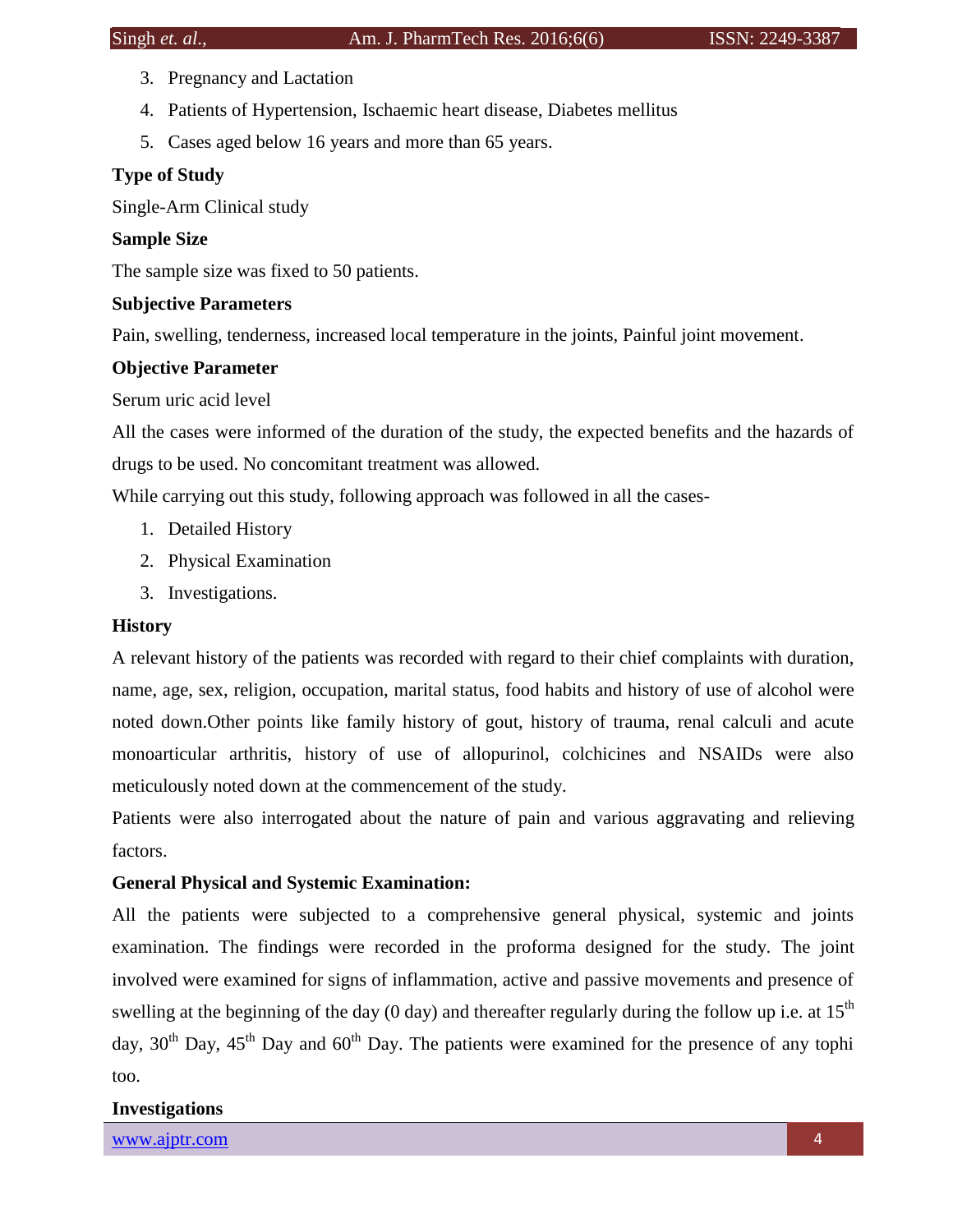- 3. Pregnancy and Lactation
- 4. Patients of Hypertension, Ischaemic heart disease, Diabetes mellitus
- 5. Cases aged below 16 years and more than 65 years.

# **Type of Study**

Single-Arm Clinical study

# **Sample Size**

The sample size was fixed to 50 patients.

# **Subjective Parameters**

Pain, swelling, tenderness, increased local temperature in the joints, Painful joint movement.

# **Objective Parameter**

Serum uric acid level

All the cases were informed of the duration of the study, the expected benefits and the hazards of drugs to be used. No concomitant treatment was allowed.

While carrying out this study, following approach was followed in all the cases-

- 1. Detailed History
- 2. Physical Examination
- 3. Investigations.

### **History**

A relevant history of the patients was recorded with regard to their chief complaints with duration, name, age, sex, religion, occupation, marital status, food habits and history of use of alcohol were noted down.Other points like family history of gout, history of trauma, renal calculi and acute monoarticular arthritis, history of use of allopurinol, colchicines and NSAIDs were also meticulously noted down at the commencement of the study.

Patients were also interrogated about the nature of pain and various aggravating and relieving factors.

# **General Physical and Systemic Examination:**

All the patients were subjected to a comprehensive general physical, systemic and joints examination. The findings were recorded in the proforma designed for the study. The joint involved were examined for signs of inflammation, active and passive movements and presence of swelling at the beginning of the day (0 day) and thereafter regularly during the follow up i.e. at  $15<sup>th</sup>$ day,  $30<sup>th</sup>$  Day,  $45<sup>th</sup>$  Day and  $60<sup>th</sup>$  Day. The patients were examined for the presence of any tophi too.

### **Investigations**

[www.ajptr.com](http://www.ajptr.com/) **4** and 4 and 4 and 4 and 4 and 4 and 4 and 4 and 4 and 4 and 4 and 4 and 4 and 4 and 4 and 4 and 4 and 4 and 4 and 4 and 4 and 4 and 4 and 4 and 4 and 4 and 4 and 4 and 4 and 4 and 4 and 4 and 4 and 4 and 4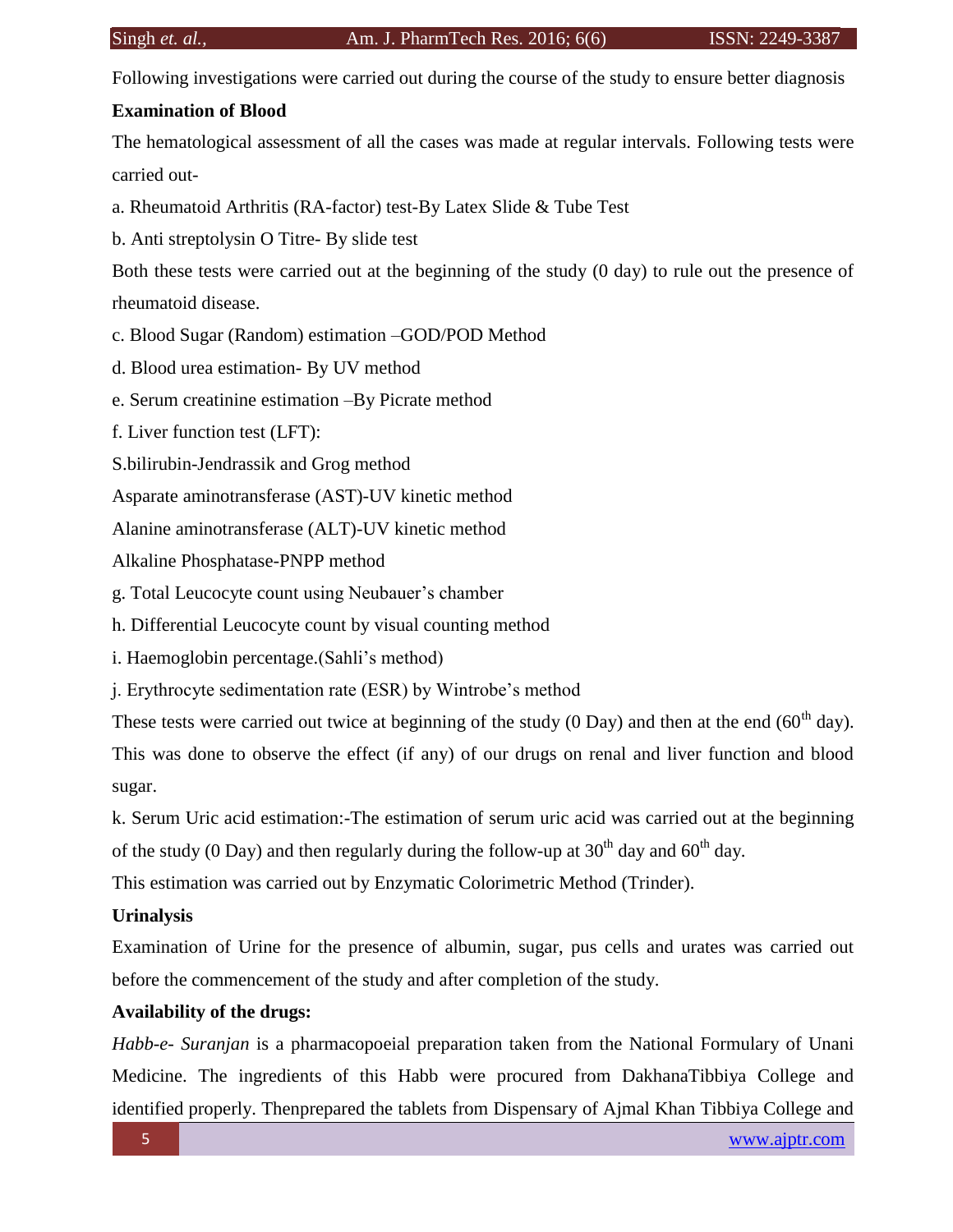Following investigations were carried out during the course of the study to ensure better diagnosis

## **Examination of Blood**

The hematological assessment of all the cases was made at regular intervals. Following tests were carried out-

a. Rheumatoid Arthritis (RA-factor) test-By Latex Slide & Tube Test

b. Anti streptolysin O Titre- By slide test

Both these tests were carried out at the beginning of the study (0 day) to rule out the presence of rheumatoid disease.

- c. Blood Sugar (Random) estimation –GOD/POD Method
- d. Blood urea estimation- By UV method
- e. Serum creatinine estimation –By Picrate method
- f. Liver function test (LFT):
- S.bilirubin-Jendrassik and Grog method

Asparate aminotransferase (AST)-UV kinetic method

Alanine aminotransferase (ALT)-UV kinetic method

Alkaline Phosphatase-PNPP method

g. Total Leucocyte count using Neubauer's chamber

h. Differential Leucocyte count by visual counting method

i. Haemoglobin percentage.(Sahli's method)

j. Erythrocyte sedimentation rate (ESR) by Wintrobe's method

These tests were carried out twice at beginning of the study  $(0 \text{ Day})$  and then at the end  $(60^{\text{th}}$  day).

This was done to observe the effect (if any) of our drugs on renal and liver function and blood sugar.

k. Serum Uric acid estimation:-The estimation of serum uric acid was carried out at the beginning of the study (0 Day) and then regularly during the follow-up at  $30<sup>th</sup>$  day and  $60<sup>th</sup>$  day.

This estimation was carried out by Enzymatic Colorimetric Method (Trinder).

# **Urinalysis**

Examination of Urine for the presence of albumin, sugar, pus cells and urates was carried out before the commencement of the study and after completion of the study.

## **Availability of the drugs:**

*Habb-e- Suranjan* is a pharmacopoeial preparation taken from the National Formulary of Unani Medicine. The ingredients of this Habb were procured from DakhanaTibbiya College and identified properly. Thenprepared the tablets from Dispensary of Ajmal Khan Tibbiya College and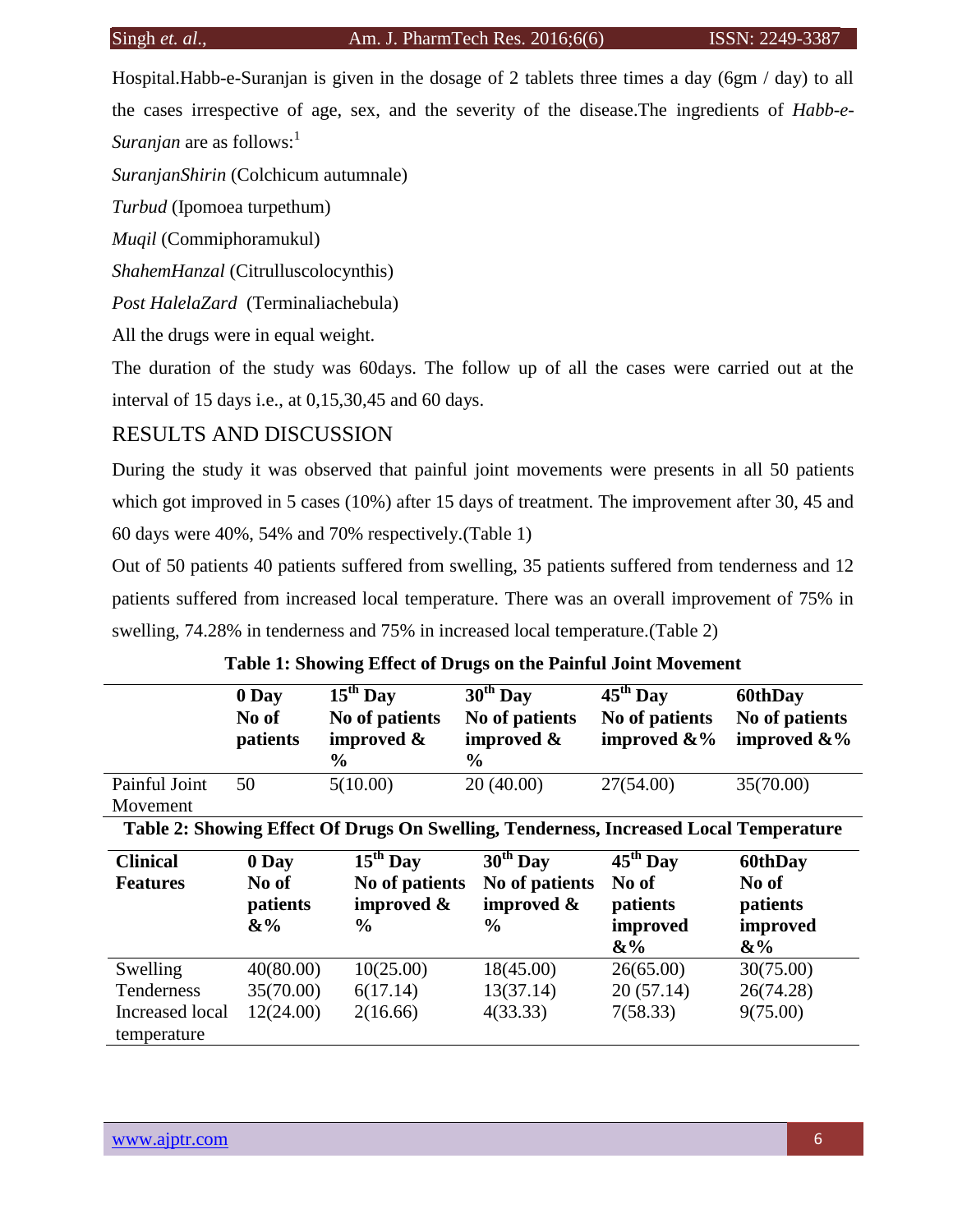Hospital.Habb-e-Suranjan is given in the dosage of 2 tablets three times a day (6gm / day) to all the cases irrespective of age, sex, and the severity of the disease.The ingredients of *Habb-e-Suranjan* are as follows:<sup>1</sup>

*SuranjanShirin* (Colchicum autumnale)

*Turbud* (Ipomoea turpethum)

*Muqil* (Commiphoramukul)

*ShahemHanzal* (Citrulluscolocynthis)

*Post HalelaZard* (Terminaliachebula)

All the drugs were in equal weight.

The duration of the study was 60days. The follow up of all the cases were carried out at the interval of 15 days i.e., at 0,15,30,45 and 60 days.

# RESULTS AND DISCUSSION

During the study it was observed that painful joint movements were presents in all 50 patients which got improved in 5 cases (10%) after 15 days of treatment. The improvement after 30, 45 and 60 days were 40%, 54% and 70% respectively.(Table 1)

Out of 50 patients 40 patients suffered from swelling, 35 patients suffered from tenderness and 12 patients suffered from increased local temperature. There was an overall improvement of 75% in swelling, 74.28% in tenderness and 75% in increased local temperature.(Table 2)

|                                                                                       | 0 Day<br>No of<br>patients          | $\overline{15^{th}}$ Day<br>No of patients<br>improved $\&$<br>$\%$ | $\overline{30^{th}}$ Day<br>No of patients<br>improved &<br>$\%$ | $45^{\text{th}}$ Day<br>No of patients<br>improved $\&\%$      | 60thDay<br>No of patients<br>improved &%          |  |
|---------------------------------------------------------------------------------------|-------------------------------------|---------------------------------------------------------------------|------------------------------------------------------------------|----------------------------------------------------------------|---------------------------------------------------|--|
| Painful Joint                                                                         | 50                                  | 5(10.00)                                                            | 20(40.00)                                                        | 27(54.00)                                                      | 35(70.00)                                         |  |
| Movement                                                                              |                                     |                                                                     |                                                                  |                                                                |                                                   |  |
| Table 2: Showing Effect Of Drugs On Swelling, Tenderness, Increased Local Temperature |                                     |                                                                     |                                                                  |                                                                |                                                   |  |
| <b>Clinical</b><br><b>Features</b>                                                    | 0 Day<br>No of<br>patients<br>$&\%$ | $15th$ Day<br>No of patients<br>improved &<br>$\frac{6}{9}$         | $30th$ Day<br>No of patients<br>improved $\&$<br>$\frac{0}{0}$   | $45^{\text{th}}$ Day<br>No of<br>patients<br>improved<br>$&\%$ | 60thDay<br>No of<br>patients<br>improved<br>$&\%$ |  |
| Swelling                                                                              | 40(80.00)                           | 10(25.00)                                                           | 18(45.00)                                                        | 26(65.00)                                                      | 30(75.00)                                         |  |
| Tenderness                                                                            | 35(70.00)                           | 6(17.14)                                                            | 13(37.14)                                                        | 20(57.14)                                                      | 26(74.28)                                         |  |
| Increased local<br>temperature                                                        | 12(24.00)                           | 2(16.66)                                                            | 4(33.33)                                                         | 7(58.33)                                                       | 9(75.00)                                          |  |

**Table 1: Showing Effect of Drugs on the Painful Joint Movement**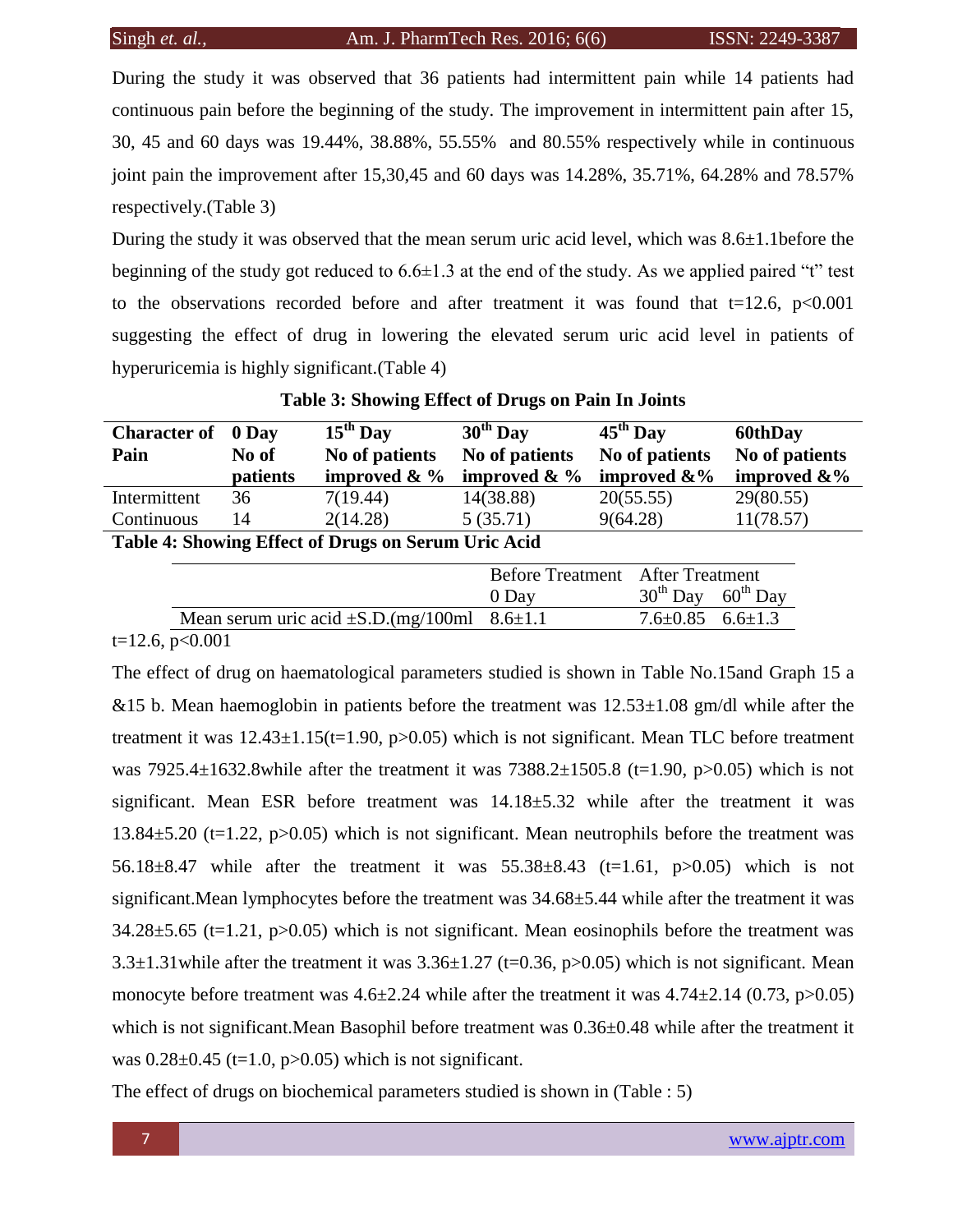During the study it was observed that 36 patients had intermittent pain while 14 patients had continuous pain before the beginning of the study. The improvement in intermittent pain after 15, 30, 45 and 60 days was 19.44%, 38.88%, 55.55% and 80.55% respectively while in continuous joint pain the improvement after 15,30,45 and 60 days was 14.28%, 35.71%, 64.28% and 78.57% respectively.(Table 3)

During the study it was observed that the mean serum uric acid level, which was 8.6±1.1before the beginning of the study got reduced to  $6.6\pm1.3$  at the end of the study. As we applied paired "t" test to the observations recorded before and after treatment it was found that  $t=12.6$ ,  $p<0.001$ suggesting the effect of drug in lowering the elevated serum uric acid level in patients of hyperuricemia is highly significant.(Table 4)

| <b>Character of</b> 0 Day                           |          | $15th$ Day                | $30th$ Day                | $45^{\text{th}}$ Day | <b>60thDay</b>  |
|-----------------------------------------------------|----------|---------------------------|---------------------------|----------------------|-----------------|
| Pain                                                | No of    | No of patients            | No of patients            | No of patients       | No of patients  |
|                                                     | patients | improved $\& \frac{9}{6}$ | improved $\& \frac{9}{6}$ | improved $\&\%$      | improved $\&\%$ |
| Intermittent                                        | 36       | 7(19.44)                  | 14(38.88)                 | 20(55.55)            | 29(80.55)       |
| Continuous                                          | 14       | 2(14.28)                  | 5(35.71)                  | 9(64.28)             | 11(78.57)       |
| Table 4: Showing Effect of Drugs on Serum Uric Acid |          |                           |                           |                      |                 |

|                                                        | <b>Before Treatment</b> After Treatment<br>0 Day | $30^{th}$ Day 60 <sup>th</sup> Day |  |
|--------------------------------------------------------|--------------------------------------------------|------------------------------------|--|
| Mean serum uric acid $\pm$ S.D.(mg/100ml 8.6 $\pm$ 1.1 |                                                  | $7.6 \pm 0.85$ $6.6 \pm 1.3$       |  |
| $\sim$ $\sim$ $\sim$ $\sim$                            |                                                  |                                    |  |

 $t=12.6$ ,  $p<0.001$ 

The effect of drug on haematological parameters studied is shown in Table No.15and Graph 15 a &15 b. Mean haemoglobin in patients before the treatment was  $12.53\pm1.08$  gm/dl while after the treatment it was  $12.43\pm1.15$ (t=1.90, p>0.05) which is not significant. Mean TLC before treatment was 7925.4 $\pm$ 1632.8while after the treatment it was 7388.2 $\pm$ 1505.8 (t=1.90, p>0.05) which is not significant. Mean ESR before treatment was  $14.18 \pm 5.32$  while after the treatment it was 13.84±5.20 (t=1.22, p>0.05) which is not significant. Mean neutrophils before the treatment was 56.18±8.47 while after the treatment it was 55.38±8.43 (t=1.61, p>0.05) which is not significant.Mean lymphocytes before the treatment was 34.68±5.44 while after the treatment it was  $34.28\pm5.65$  (t=1.21, p $>0.05$ ) which is not significant. Mean eosinophils before the treatment was  $3.3\pm1.31$  while after the treatment it was  $3.36\pm1.27$  (t=0.36, p>0.05) which is not significant. Mean monocyte before treatment was  $4.6\pm 2.24$  while after the treatment it was  $4.74\pm 2.14$  (0.73, p $>0.05$ ) which is not significant. Mean Basophil before treatment was  $0.36\pm0.48$  while after the treatment it was  $0.28 \pm 0.45$  (t=1.0, p>0.05) which is not significant.

The effect of drugs on biochemical parameters studied is shown in (Table : 5)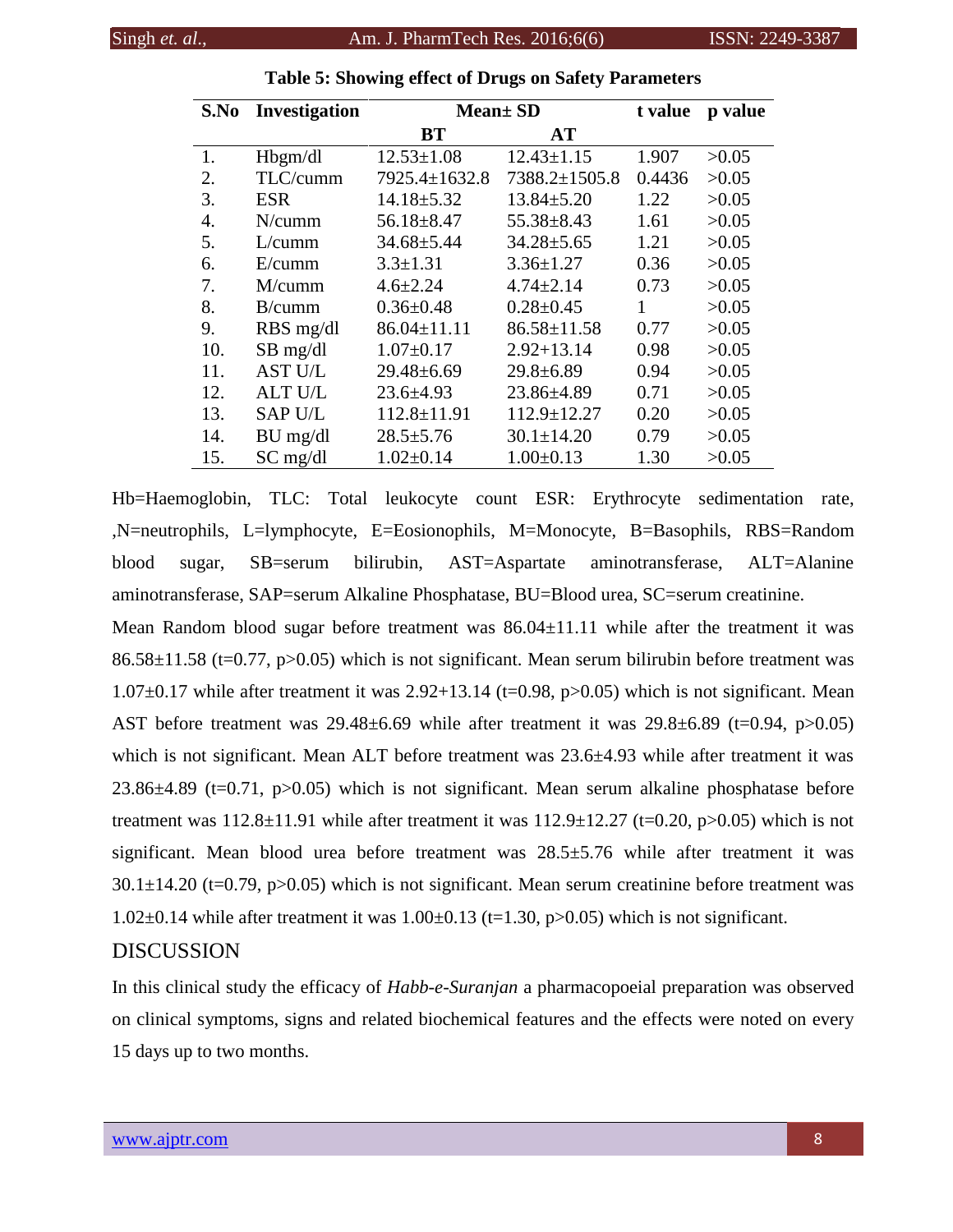| S.No | Investigation  | <b>Mean± SD</b>     |                   | t value | p value |
|------|----------------|---------------------|-------------------|---------|---------|
|      |                | BT                  | <b>AT</b>         |         |         |
| 1.   | Hbgm/dl        | $12.53 \pm 1.08$    | $12.43 \pm 1.15$  | 1.907   | >0.05   |
| 2.   | TLC/cumm       | $7925.4 \pm 1632.8$ | 7388.2±1505.8     | 0.4436  | >0.05   |
| 3.   | <b>ESR</b>     | $14.18 \pm 5.32$    | $13.84 \pm 5.20$  | 1.22    | >0.05   |
| 4.   | N/cumm         | $56.18 \pm 8.47$    | $55.38 \pm 8.43$  | 1.61    | >0.05   |
| 5.   | L/cumm         | $34.68 \pm 5.44$    | $34.28 \pm 5.65$  | 1.21    | >0.05   |
| 6.   | E/cumm         | $3.3 \pm 1.31$      | $3.36 \pm 1.27$   | 0.36    | >0.05   |
| 7.   | M/cumm         | $4.6 \pm 2.24$      | $4.74 \pm 2.14$   | 0.73    | >0.05   |
| 8.   | B/cumm         | $0.36 \pm 0.48$     | $0.28 \pm 0.45$   | 1       | >0.05   |
| 9.   | RBS mg/dl      | $86.04 \pm 11.11$   | $86.58 \pm 11.58$ | 0.77    | >0.05   |
| 10.  | $SB$ mg/dl     | $1.07 \pm 0.17$     | $2.92 + 13.14$    | 0.98    | >0.05   |
| 11.  | <b>AST U/L</b> | $29.48 \pm 6.69$    | $29.8 \pm 6.89$   | 0.94    | >0.05   |
| 12.  | <b>ALT U/L</b> | $23.6 \pm 4.93$     | $23.86 \pm 4.89$  | 0.71    | >0.05   |
| 13.  | <b>SAP U/L</b> | $112.8 \pm 11.91$   | 112.9±12.27       | 0.20    | >0.05   |
| 14.  | $BU$ mg/dl     | $28.5 \pm 5.76$     | $30.1 \pm 14.20$  | 0.79    | >0.05   |
| 15.  | $SC$ mg/dl     | $1.02 \pm 0.14$     | $1.00 \pm 0.13$   | 1.30    | >0.05   |

# **Table 5: Showing effect of Drugs on Safety Parameters**

Hb=Haemoglobin, TLC: Total leukocyte count ESR: Erythrocyte sedimentation rate, ,N=neutrophils, L=lymphocyte, E=Eosionophils, M=Monocyte, B=Basophils, RBS=Random blood sugar, SB=serum bilirubin, AST=Aspartate aminotransferase, ALT=Alanine aminotransferase, SAP=serum Alkaline Phosphatase, BU=Blood urea, SC=serum creatinine.

Mean Random blood sugar before treatment was  $86.04 \pm 11.11$  while after the treatment it was  $86.58\pm11.58$  (t=0.77, p>0.05) which is not significant. Mean serum bilirubin before treatment was  $1.07\pm0.17$  while after treatment it was 2.92+13.14 (t=0.98, p>0.05) which is not significant. Mean AST before treatment was  $29.48\pm6.69$  while after treatment it was  $29.8\pm6.89$  (t=0.94, p>0.05) which is not significant. Mean ALT before treatment was  $23.6\pm4.93$  while after treatment it was 23.86±4.89 (t=0.71, p>0.05) which is not significant. Mean serum alkaline phosphatase before treatment was  $112.8\pm11.91$  while after treatment it was  $112.9\pm12.27$  (t=0.20, p>0.05) which is not significant. Mean blood urea before treatment was 28.5±5.76 while after treatment it was  $30.1\pm14.20$  (t=0.79, p>0.05) which is not significant. Mean serum creatinine before treatment was 1.02 $\pm$ 0.14 while after treatment it was 1.00 $\pm$ 0.13 (t=1.30, p $>$ 0.05) which is not significant.

# **DISCUSSION**

In this clinical study the efficacy of *Habb-e-Suranjan* a pharmacopoeial preparation was observed on clinical symptoms, signs and related biochemical features and the effects were noted on every 15 days up to two months.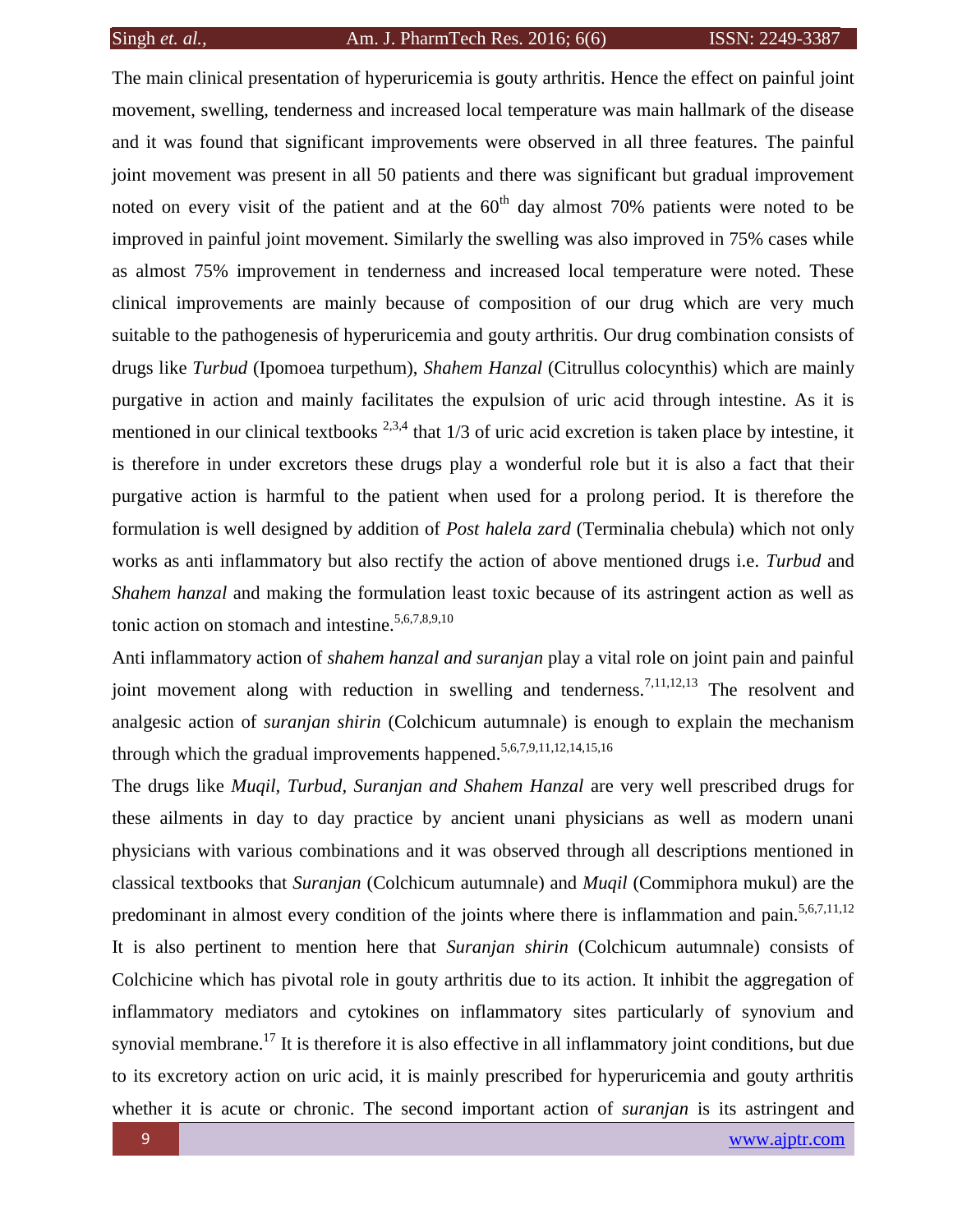The main clinical presentation of hyperuricemia is gouty arthritis. Hence the effect on painful joint movement, swelling, tenderness and increased local temperature was main hallmark of the disease and it was found that significant improvements were observed in all three features. The painful joint movement was present in all 50 patients and there was significant but gradual improvement noted on every visit of the patient and at the  $60<sup>th</sup>$  day almost 70% patients were noted to be improved in painful joint movement. Similarly the swelling was also improved in 75% cases while as almost 75% improvement in tenderness and increased local temperature were noted. These clinical improvements are mainly because of composition of our drug which are very much suitable to the pathogenesis of hyperuricemia and gouty arthritis. Our drug combination consists of drugs like *Turbud* (Ipomoea turpethum), *Shahem Hanzal* (Citrullus colocynthis) which are mainly purgative in action and mainly facilitates the expulsion of uric acid through intestine. As it is mentioned in our clinical textbooks  $^{2,3,4}$  that 1/3 of uric acid excretion is taken place by intestine, it is therefore in under excretors these drugs play a wonderful role but it is also a fact that their purgative action is harmful to the patient when used for a prolong period. It is therefore the formulation is well designed by addition of *Post halela zard* (Terminalia chebula) which not only works as anti inflammatory but also rectify the action of above mentioned drugs i.e. *Turbud* and *Shahem hanzal* and making the formulation least toxic because of its astringent action as well as tonic action on stomach and intestine. $5,6,7,8,9,10$ 

Anti inflammatory action of *shahem hanzal and suranjan* play a vital role on joint pain and painful joint movement along with reduction in swelling and tenderness.<sup>7,11,12,13</sup> The resolvent and analgesic action of *suranjan shirin* (Colchicum autumnale) is enough to explain the mechanism through which the gradual improvements happened.<sup>5,6,7,9,11,12,14,15,16</sup>

The drugs like *Muqil, Turbud, Suranjan and Shahem Hanzal* are very well prescribed drugs for these ailments in day to day practice by ancient unani physicians as well as modern unani physicians with various combinations and it was observed through all descriptions mentioned in classical textbooks that *Suranjan* (Colchicum autumnale) and *Muqil* (Commiphora mukul) are the predominant in almost every condition of the joints where there is inflammation and pain.<sup>5,6,7,11,12</sup> It is also pertinent to mention here that *Suranjan shirin* (Colchicum autumnale) consists of Colchicine which has pivotal role in gouty arthritis due to its action. It inhibit the aggregation of inflammatory mediators and cytokines on inflammatory sites particularly of synovium and synovial membrane.<sup>17</sup> It is therefore it is also effective in all inflammatory joint conditions, but due to its excretory action on uric acid, it is mainly prescribed for hyperuricemia and gouty arthritis whether it is acute or chronic. The second important action of *suranjan* is its astringent and

9 [www.ajptr.com](http://www.ajptr.com/)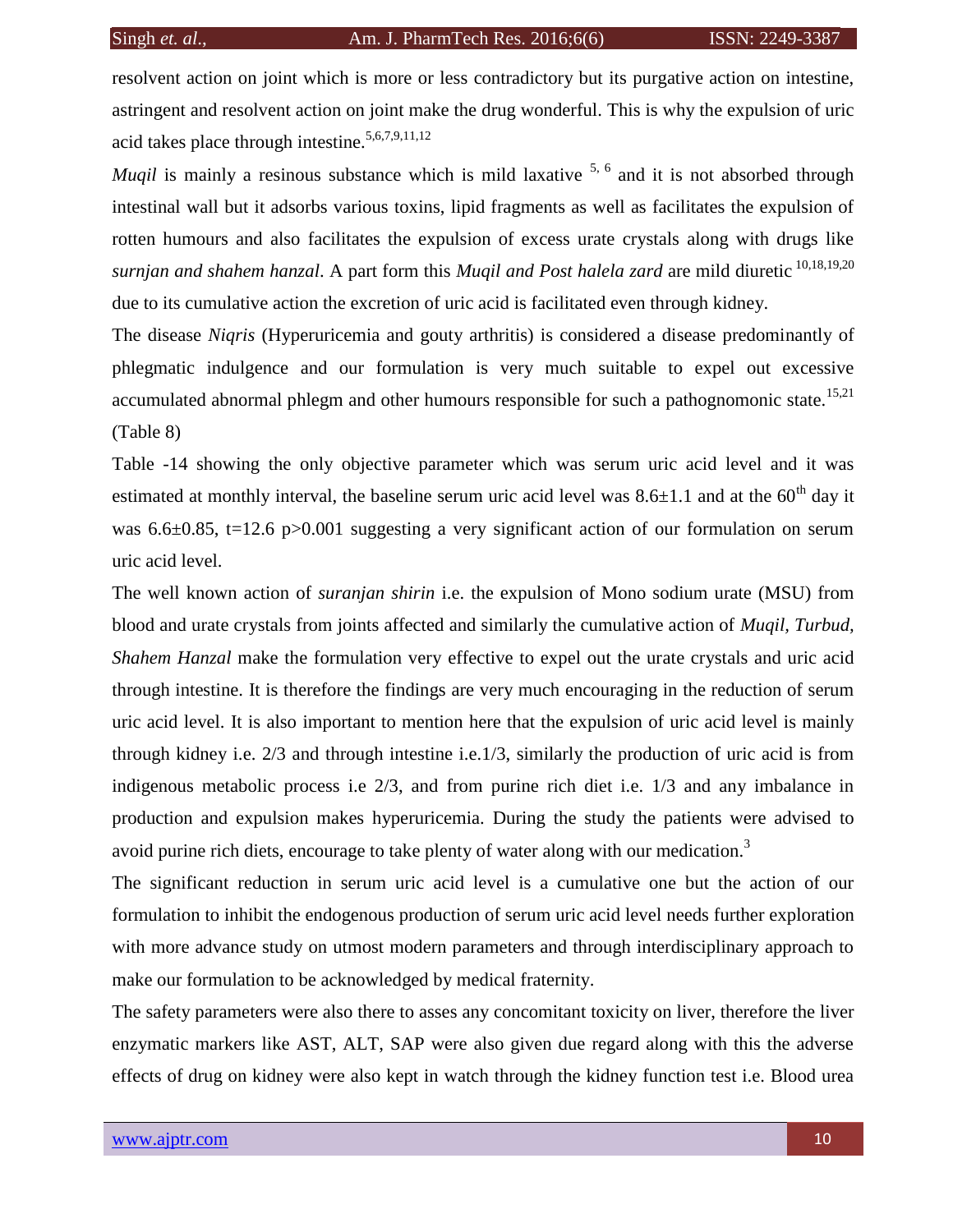resolvent action on joint which is more or less contradictory but its purgative action on intestine, astringent and resolvent action on joint make the drug wonderful. This is why the expulsion of uric acid takes place through intestine.<sup>5,6,7,9,11,12</sup>

*Muqil* is mainly a resinous substance which is mild laxative  $5, 6$  and it is not absorbed through intestinal wall but it adsorbs various toxins, lipid fragments as well as facilitates the expulsion of rotten humours and also facilitates the expulsion of excess urate crystals along with drugs like *surnjan and shahem hanzal*. A part form this *Muqil and Post halela zard* are mild diuretic 10,18,19,20 due to its cumulative action the excretion of uric acid is facilitated even through kidney.

The disease *Niqris* (Hyperuricemia and gouty arthritis) is considered a disease predominantly of phlegmatic indulgence and our formulation is very much suitable to expel out excessive accumulated abnormal phlegm and other humours responsible for such a pathognomonic state.<sup>15,21</sup> (Table 8)

Table -14 showing the only objective parameter which was serum uric acid level and it was estimated at monthly interval, the baseline serum uric acid level was  $8.6\pm1.1$  and at the  $60<sup>th</sup>$  day it was 6.6 $\pm$ 0.85, t=12.6 p>0.001 suggesting a very significant action of our formulation on serum uric acid level.

The well known action of *suranjan shirin* i.e. the expulsion of Mono sodium urate (MSU) from blood and urate crystals from joints affected and similarly the cumulative action of *Muqil, Turbud, Shahem Hanzal* make the formulation very effective to expel out the urate crystals and uric acid through intestine. It is therefore the findings are very much encouraging in the reduction of serum uric acid level. It is also important to mention here that the expulsion of uric acid level is mainly through kidney i.e. 2/3 and through intestine i.e.1/3, similarly the production of uric acid is from indigenous metabolic process i.e 2/3, and from purine rich diet i.e. 1/3 and any imbalance in production and expulsion makes hyperuricemia. During the study the patients were advised to avoid purine rich diets, encourage to take plenty of water along with our medication.<sup>3</sup>

The significant reduction in serum uric acid level is a cumulative one but the action of our formulation to inhibit the endogenous production of serum uric acid level needs further exploration with more advance study on utmost modern parameters and through interdisciplinary approach to make our formulation to be acknowledged by medical fraternity.

The safety parameters were also there to asses any concomitant toxicity on liver, therefore the liver enzymatic markers like AST, ALT, SAP were also given due regard along with this the adverse effects of drug on kidney were also kept in watch through the kidney function test i.e. Blood urea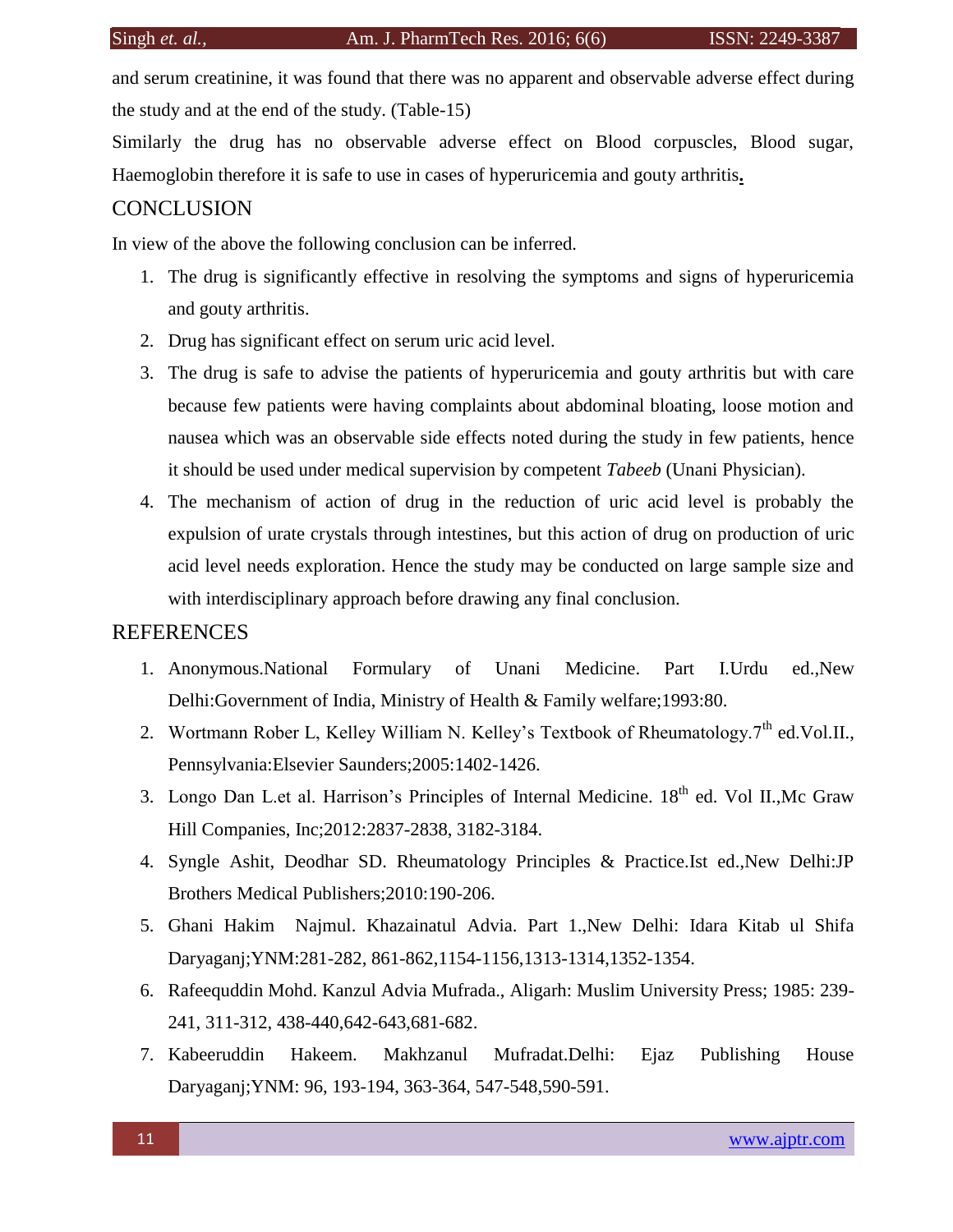and serum creatinine, it was found that there was no apparent and observable adverse effect during the study and at the end of the study. (Table-15)

Similarly the drug has no observable adverse effect on Blood corpuscles, Blood sugar, Haemoglobin therefore it is safe to use in cases of hyperuricemia and gouty arthritis**.**

# **CONCLUSION**

In view of the above the following conclusion can be inferred.

- 1. The drug is significantly effective in resolving the symptoms and signs of hyperuricemia and gouty arthritis.
- 2. Drug has significant effect on serum uric acid level.
- 3. The drug is safe to advise the patients of hyperuricemia and gouty arthritis but with care because few patients were having complaints about abdominal bloating, loose motion and nausea which was an observable side effects noted during the study in few patients, hence it should be used under medical supervision by competent *Tabeeb* (Unani Physician).
- 4. The mechanism of action of drug in the reduction of uric acid level is probably the expulsion of urate crystals through intestines, but this action of drug on production of uric acid level needs exploration. Hence the study may be conducted on large sample size and with interdisciplinary approach before drawing any final conclusion.

# REFERENCES

- 1. Anonymous.National Formulary of Unani Medicine. Part I.Urdu ed.,New Delhi:Government of India, Ministry of Health & Family welfare;1993:80.
- 2. Wortmann Rober L, Kelley William N. Kelley's Textbook of Rheumatology.7<sup>th</sup> ed.Vol.II., Pennsylvania:Elsevier Saunders;2005:1402-1426.
- 3. Longo Dan L.et al. Harrison's Principles of Internal Medicine. 18<sup>th</sup> ed. Vol II., Mc Graw Hill Companies, Inc;2012:2837-2838, 3182-3184.
- 4. Syngle Ashit, Deodhar SD. Rheumatology Principles & Practice.Ist ed.,New Delhi:JP Brothers Medical Publishers;2010:190-206.
- 5. Ghani Hakim Najmul. Khazainatul Advia. Part 1.,New Delhi: Idara Kitab ul Shifa Daryaganj;YNM:281-282, 861-862,1154-1156,1313-1314,1352-1354.
- 6. Rafeequddin Mohd. Kanzul Advia Mufrada., Aligarh: Muslim University Press; 1985: 239- 241, 311-312, 438-440,642-643,681-682.
- 7. Kabeeruddin Hakeem. Makhzanul Mufradat.Delhi: Ejaz Publishing House Daryaganj;YNM: 96, 193-194, 363-364, 547-548,590-591.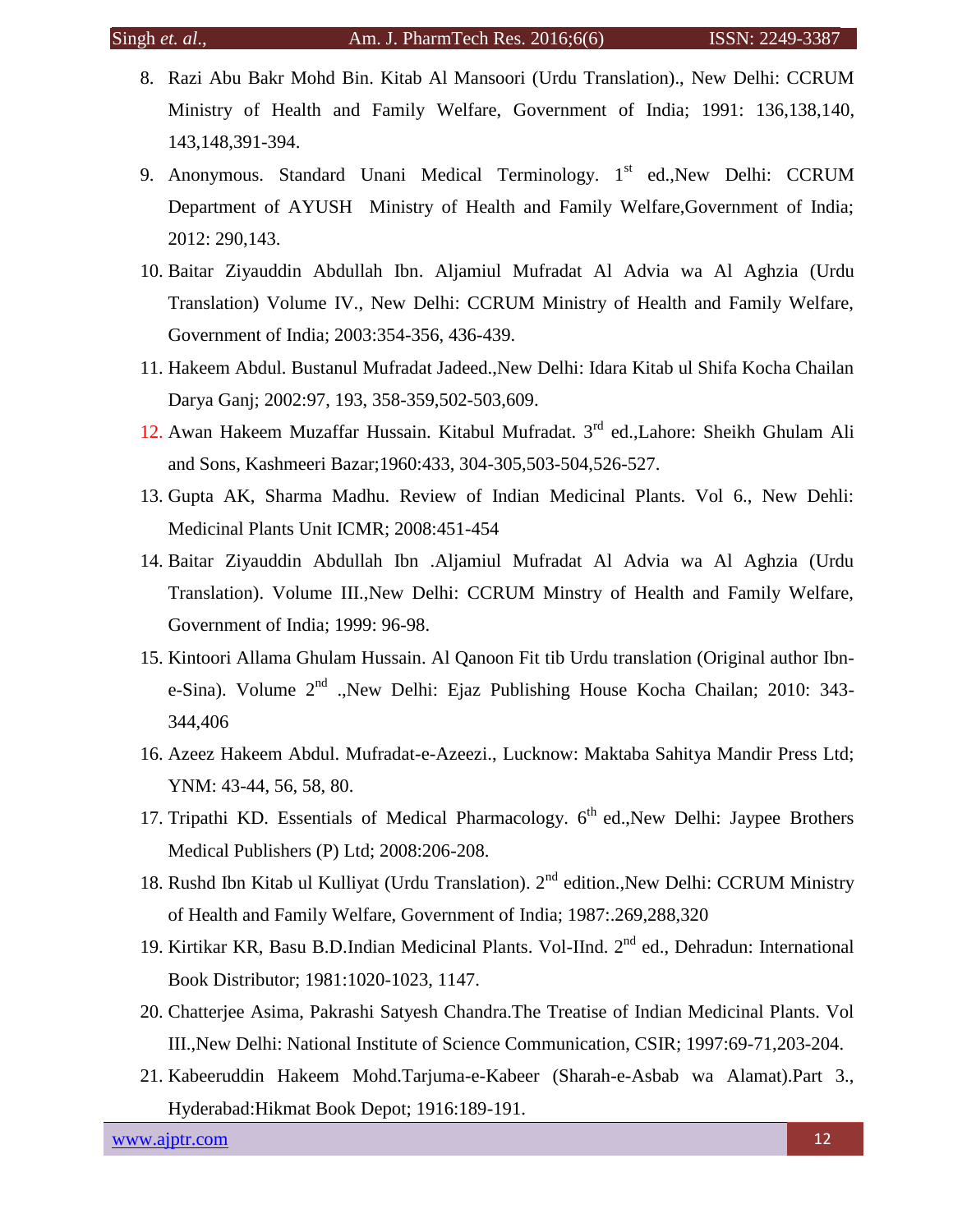- 8. Razi Abu Bakr Mohd Bin. Kitab Al Mansoori (Urdu Translation)., New Delhi: CCRUM Ministry of Health and Family Welfare, Government of India; 1991: 136,138,140, 143,148,391-394.
- 9. Anonymous. Standard Unani Medical Terminology.  $1<sup>st</sup>$  ed., New Delhi: CCRUM Department of AYUSH Ministry of Health and Family Welfare,Government of India; 2012: 290,143.
- 10. Baitar Ziyauddin Abdullah Ibn. Aljamiul Mufradat Al Advia wa Al Aghzia (Urdu Translation) Volume IV., New Delhi: CCRUM Ministry of Health and Family Welfare, Government of India; 2003:354-356, 436-439.
- 11. Hakeem Abdul. Bustanul Mufradat Jadeed.,New Delhi: Idara Kitab ul Shifa Kocha Chailan Darya Ganj; 2002:97, 193, 358-359,502-503,609.
- 12. Awan Hakeem Muzaffar Hussain. Kitabul Mufradat. 3rd ed.,Lahore: Sheikh Ghulam Ali and Sons, Kashmeeri Bazar;1960:433, 304-305,503-504,526-527.
- 13. Gupta AK, Sharma Madhu. Review of Indian Medicinal Plants. Vol 6., New Dehli: Medicinal Plants Unit ICMR; 2008:451-454
- 14. Baitar Ziyauddin Abdullah Ibn .Aljamiul Mufradat Al Advia wa Al Aghzia (Urdu Translation). Volume III.,New Delhi: CCRUM Minstry of Health and Family Welfare, Government of India; 1999: 96-98.
- 15. Kintoori Allama Ghulam Hussain. Al Qanoon Fit tib Urdu translation (Original author Ibne-Sina). Volume  $2^{nd}$  .,New Delhi: Ejaz Publishing House Kocha Chailan; 2010: 343-344,406
- 16. Azeez Hakeem Abdul. Mufradat-e-Azeezi., Lucknow: Maktaba Sahitya Mandir Press Ltd; YNM: 43-44, 56, 58, 80.
- 17. Tripathi KD. Essentials of Medical Pharmacology.  $6<sup>th</sup>$  ed., New Delhi: Jaypee Brothers Medical Publishers (P) Ltd; 2008:206-208.
- 18. Rushd Ibn Kitab ul Kulliyat (Urdu Translation). 2<sup>nd</sup> edition.,New Delhi: CCRUM Ministry of Health and Family Welfare, Government of India; 1987:.269,288,320
- 19. Kirtikar KR, Basu B.D.Indian Medicinal Plants. Vol-IInd. 2<sup>nd</sup> ed., Dehradun: International Book Distributor; 1981:1020-1023, 1147.
- 20. Chatterjee Asima, Pakrashi Satyesh Chandra.The Treatise of Indian Medicinal Plants. Vol III.,New Delhi: National Institute of Science Communication, CSIR; 1997:69-71,203-204.
- 21. Kabeeruddin Hakeem Mohd.Tarjuma-e-Kabeer (Sharah-e-Asbab wa Alamat).Part 3., Hyderabad:Hikmat Book Depot; 1916:189-191.